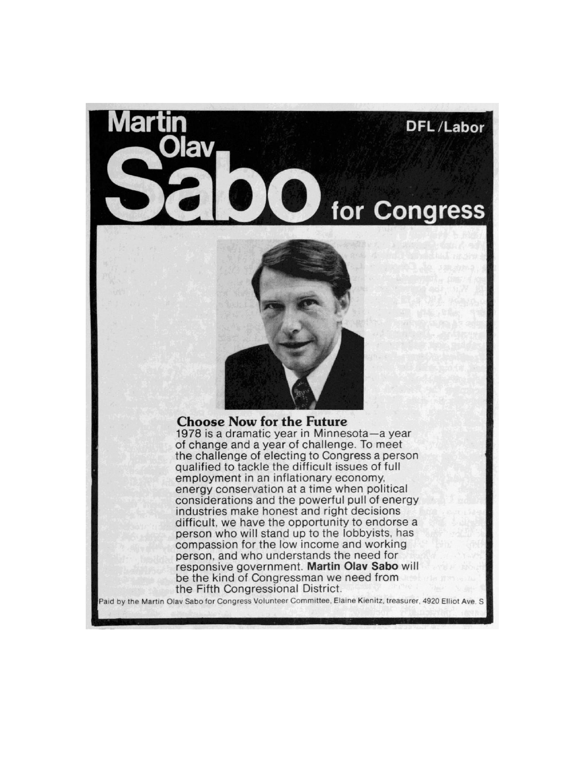



## **Choose Now for the Future**

1978 is a dramatic year in Minnesota-a year of change and a year of challenge. To meet the challenge of electing to Congress a person qualified to tackle the difficult issues of full employment in an inflationary economy, energy conservation at a time when political considerations and the powerful pull of energy industries make honest and right decisions difficult, we have the opportunity to endorse a person who will stand up to the lobbyists, has compassion for the low income and working person, and who understands the need for responsive government. Martin Olav Sabo will be the kind of Congressman we need from the Fifth Congressional District.

Paid by the Martin Olav Sabo for Congress Volunteer Committee, Elaine Kienitz, treasurer, 4920 Elliot Ave. S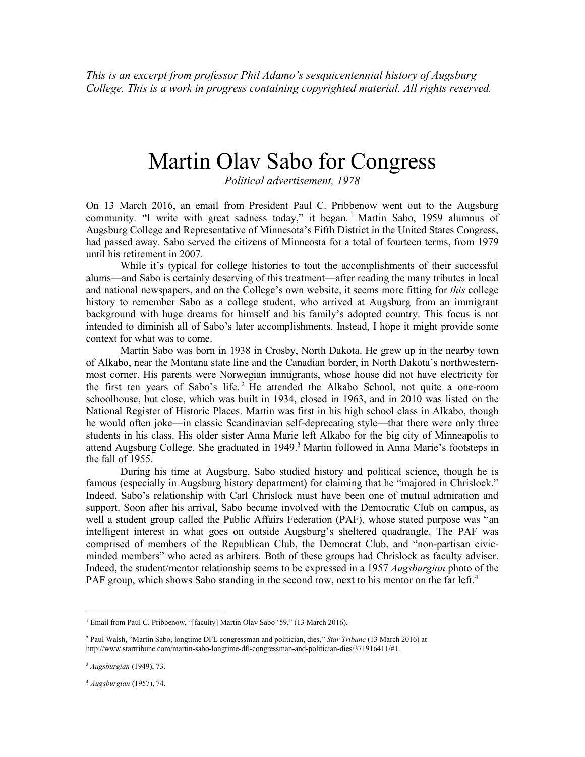*This is an excerpt from professor Phil Adamo's sesquicentennial history of Augsburg College. This is a work in progress containing copyrighted material. All rights reserved.*

## Martin Olav Sabo for Congress

*Political advertisement, 1978*

On 13 March 2016, an email from President Paul C. Pribbenow went out to the Augsburg community. "I write with great sadness today," it began.<sup>1</sup> Martin Sabo, 1959 alumnus of Augsburg College and Representative of Minnesota's Fifth District in the United States Congress, had passed away. Sabo served the citizens of Minneosta for a total of fourteen terms, from 1979 until his retirement in 2007.

While it's typical for college histories to tout the accomplishments of their successful alums—and Sabo is certainly deserving of this treatment—after reading the many tributes in local and national newspapers, and on the College's own website, it seems more fitting for *this* college history to remember Sabo as a college student, who arrived at Augsburg from an immigrant background with huge dreams for himself and his family's adopted country. This focus is not intended to diminish all of Sabo's later accomplishments. Instead, I hope it might provide some context for what was to come.

Martin Sabo was born in 1938 in Crosby, North Dakota. He grew up in the nearby town of Alkabo, near the Montana state line and the Canadian border, in North Dakota's northwesternmost corner. His parents were Norwegian immigrants, whose house did not have electricity for the first ten years of Sabo's life.<sup>2</sup> He attended the Alkabo School, not quite a one-room schoolhouse, but close, which was built in 1934, closed in 1963, and in 2010 was listed on the National Register of Historic Places. Martin was first in his high school class in Alkabo, though he would often joke—in classic Scandinavian self-deprecating style—that there were only three students in his class. His older sister Anna Marie left Alkabo for the big city of Minneapolis to attend Augsburg College. She graduated in 1949.<sup>3</sup> Martin followed in Anna Marie's footsteps in the fall of 1955.

During his time at Augsburg, Sabo studied history and political science, though he is famous (especially in Augsburg history department) for claiming that he "majored in Chrislock." Indeed, Sabo's relationship with Carl Chrislock must have been one of mutual admiration and support. Soon after his arrival, Sabo became involved with the Democratic Club on campus, as well a student group called the Public Affairs Federation (PAF), whose stated purpose was "an intelligent interest in what goes on outside Augsburg's sheltered quadrangle. The PAF was comprised of members of the Republican Club, the Democrat Club, and "non-partisan civicminded members" who acted as arbiters. Both of these groups had Chrislock as faculty adviser. Indeed, the student/mentor relationship seems to be expressed in a 1957 *Augsburgian* photo of the PAF group, which shows Sabo standing in the second row, next to his mentor on the far left.<sup>4</sup>

 $\overline{a}$ 

<sup>&</sup>lt;sup>1</sup> Email from Paul C. Pribbenow, "[faculty] Martin Olav Sabo '59," (13 March 2016).

<sup>2</sup> Paul Walsh, "Martin Sabo, longtime DFL congressman and politician, dies," *Star Tribune* (13 March 2016) at http://www.startribune.com/martin-sabo-longtime-dfl-congressman-and-politician-dies/371916411/#1.

<sup>3</sup> *Augsburgian* (1949), 73.

<sup>4</sup> *Augsburgian* (1957), 74.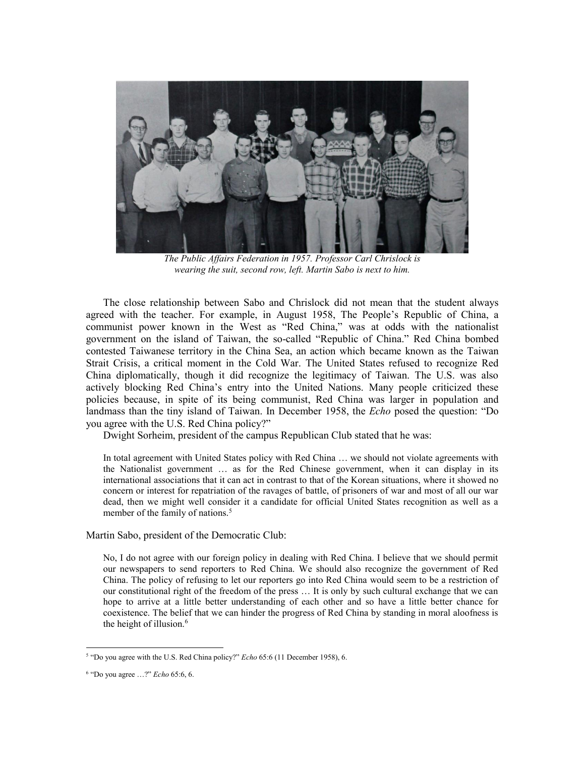

*The Public Affairs Federation in 1957. Professor Carl Chrislock is wearing the suit, second row, left. Martin Sabo is next to him.*

The close relationship between Sabo and Chrislock did not mean that the student always agreed with the teacher. For example, in August 1958, The People's Republic of China, a communist power known in the West as "Red China," was at odds with the nationalist government on the island of Taiwan, the so-called "Republic of China." Red China bombed contested Taiwanese territory in the China Sea, an action which became known as the Taiwan Strait Crisis, a critical moment in the Cold War. The United States refused to recognize Red China diplomatically, though it did recognize the legitimacy of Taiwan. The U.S. was also actively blocking Red China's entry into the United Nations. Many people criticized these policies because, in spite of its being communist, Red China was larger in population and landmass than the tiny island of Taiwan. In December 1958, the *Echo* posed the question: "Do you agree with the U.S. Red China policy?"

Dwight Sorheim, president of the campus Republican Club stated that he was:

In total agreement with United States policy with Red China … we should not violate agreements with the Nationalist government … as for the Red Chinese government, when it can display in its international associations that it can act in contrast to that of the Korean situations, where it showed no concern or interest for repatriation of the ravages of battle, of prisoners of war and most of all our war dead, then we might well consider it a candidate for official United States recognition as well as a member of the family of nations.<sup>5</sup>

Martin Sabo, president of the Democratic Club:

No, I do not agree with our foreign policy in dealing with Red China. I believe that we should permit our newspapers to send reporters to Red China. We should also recognize the government of Red China. The policy of refusing to let our reporters go into Red China would seem to be a restriction of our constitutional right of the freedom of the press … It is only by such cultural exchange that we can hope to arrive at a little better understanding of each other and so have a little better chance for coexistence. The belief that we can hinder the progress of Red China by standing in moral aloofness is the height of illusion.<sup>6</sup>

 5 "Do you agree with the U.S. Red China policy?" *Echo* 65:6 (11 December 1958), 6.

<sup>6</sup> "Do you agree …?" *Echo* 65:6, 6.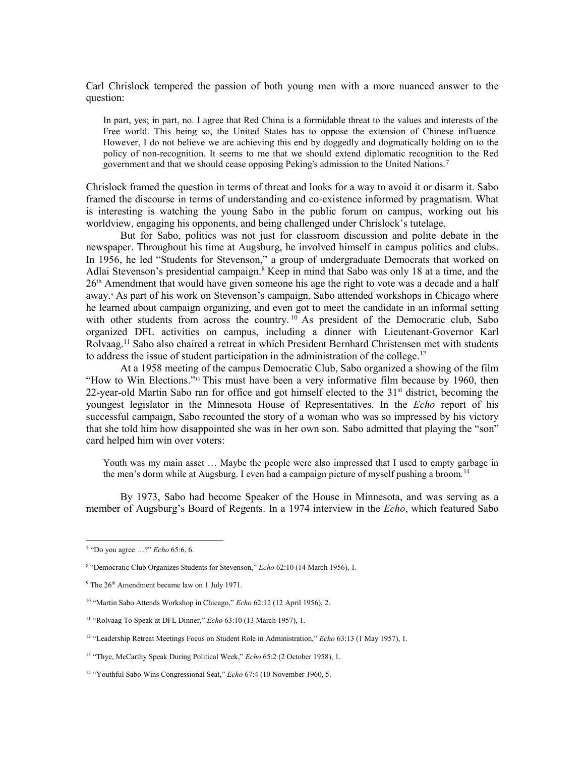Carl Chrislock tempered the passion of both young men with a more nuanced answer to the question:

In part, yes; in part, no. I agree that Red China is a formidable threat to the values and interests of the Free world. This being so, the United States has to oppose the extension of Chinese inf1uence. However, I do not believe we are achieving this end by doggedly and dogmatically holding on to the policy of non-recognition. It seems to me that we should extend diplomatic recognition to the Red government and that we should cease opposing Peking's admission to the United Nations.<sup>7</sup>

Chrislock framed the question in terms of threat and looks for a way to avoid it or disarm it. Sabo framed the discourse in terms of understanding and co-existence informed by pragmatism. What is interesting is watching the young Sabo in the public forum on campus, working out his worldview, engaging his opponents, and being challenged under Chrislock's tutelage.

But for Sabo, politics was not just for classroom discussion and polite debate in the newspaper. Throughout his time at Augsburg, he involved himself in campus politics and clubs. In 1956, he led "Students for Stevenson," a group of undergraduate Democrats that worked on Adlai Stevenson's presidential campaign.<sup>8</sup> Keep in mind that Sabo was only 18 at a time, and the 26<sup>th</sup> Amendment that would have given someone his age the right to vote was a decade and a half away.<sup>9</sup> As part of his work on Stevenson's campaign, Sabo attended workshops in Chicago where he learned about campaign organizing, and even got to meet the candidate in an informal setting with other students from across the country.  $10$  As president of the Democratic club, Sabo organized DFL activities on campus, including a dinner with Lieutenant-Governor Karl Rolvaag.<sup>11</sup> Sabo also chaired a retreat in which President Bernhard Christensen met with students to address the issue of student participation in the administration of the college.<sup>12</sup>

At a 1958 meeting of the campus Democratic Club, Sabo organized a showing of the film "How to Win Elections."<sup>13</sup> This must have been a very informative film because by 1960, then 22-year-old Martin Sabo ran for office and got himself elected to the  $31<sup>st</sup>$  district, becoming the youngest legislator in the Minnesota House of Representatives. In the *Echo* report of his successful campaign, Sabo recounted the story of a woman who was so impressed by his victory that she told him how disappointed she was in her own son. Sabo admitted that playing the "son" card helped him win over voters:

Youth was my main asset … Maybe the people were also impressed that I used to empty garbage in the men's dorm while at Augsburg. I even had a campaign picture of myself pushing a broom.<sup>14</sup>

By 1973, Sabo had become Speaker of the House in Minnesota, and was serving as a member of Augsburg's Board of Regents. In a 1974 interview in the *Echo*, which featured Sabo

 7 "Do you agree …?" *Echo* 65:6, 6.

<sup>8</sup> "Democratic Club Organizes Students for Stevenson," *Echo* 62:10 (14 March 1956), 1.

 $9$  The  $26<sup>th</sup>$  Amendment became law on 1 July 1971.

<sup>10</sup> "Martin Sabo Attends Workshop in Chicago," *Echo* 62:12 (12 April 1956), 2.

<sup>11</sup> "Rolvaag To Speak at DFL Dinner," *Echo* 63:10 (13 March 1957), 1.

<sup>&</sup>lt;sup>12</sup> "Leadership Retreat Meetings Focus on Student Role in Administration," *Echo* 63:13 (1 May 1957), 1.

<sup>&</sup>lt;sup>13</sup> "Thye, McCarthy Speak During Political Week," *Echo* 65:2 (2 October 1958), 1.

<sup>&</sup>lt;sup>14</sup> "Youthful Sabo Wins Congressional Seat," *Echo* 67:4 (10 November 1960, 5.